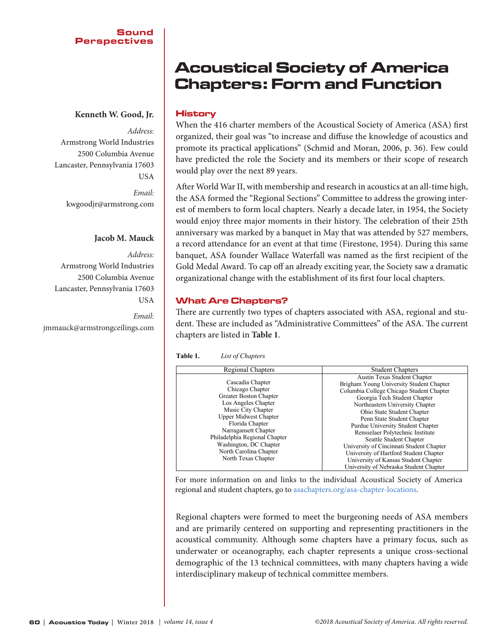## Sound Perspectives

# **Kenneth W. Good, Jr.**

*Address:* 

Armstrong World Industries 2500 Columbia Avenue Lancaster, Pennsylvania 17603 USA

> *Email:*  [kwgoodjr@armstrong.com](mailto:kwgoodjr@armstrong.com)

## **Jacob M. Mauck**

*Address:*  Armstrong World Industries 2500 Columbia Avenue Lancaster, Pennsylvania 17603 USA

*Email:*  [jmmauck@armstrongceilings.com](mailto:jmmauck@armstrongceilings.com)

# Acoustical Society of America Chapters: Form and Function

# History

When the 416 charter members of the Acoustical Society of America (ASA) first organized, their goal was "to increase and diffuse the knowledge of acoustics and promote its practical applications" (Schmid and Moran, 2006, p. 36). Few could have predicted the role the Society and its members or their scope of research would play over the next 89 years.

After World War II, with membership and research in acoustics at an all-time high, the ASA formed the "Regional Sections" Committee to address the growing interest of members to form local chapters. Nearly a decade later, in 1954, the Society would enjoy three major moments in their history. The celebration of their 25th anniversary was marked by a banquet in May that was attended by 527 members, a record attendance for an event at that time (Firestone, 1954). During this same banquet, ASA founder Wallace Waterfall was named as the first recipient of the Gold Medal Award. To cap off an already exciting year, the Society saw a dramatic organizational change with the establishment of its first four local chapters.

# What Are Chapters?

There are currently two types of chapters associated with ASA, regional and student. These are included as "Administrative Committees" of the ASA. The current chapters are listed in **Table 1**.

| Table 1. | List of Chapters |
|----------|------------------|
|          |                  |

| Regional Chapters                                                                                                                                                                                                                                                                                 | <b>Student Chapters</b>                                                                                                                                                                                                                                                                                                                                                                                                                                                                                                         |
|---------------------------------------------------------------------------------------------------------------------------------------------------------------------------------------------------------------------------------------------------------------------------------------------------|---------------------------------------------------------------------------------------------------------------------------------------------------------------------------------------------------------------------------------------------------------------------------------------------------------------------------------------------------------------------------------------------------------------------------------------------------------------------------------------------------------------------------------|
| Cascadia Chapter<br>Chicago Chapter<br>Greater Boston Chapter<br>Los Angeles Chapter<br>Music City Chapter<br><b>Upper Midwest Chapter</b><br>Florida Chapter<br>Narragansett Chapter<br>Philadelphia Regional Chapter<br>Washington, DC Chapter<br>North Carolina Chapter<br>North Texas Chapter | Austin Texas Student Chapter<br>Brigham Young University Student Chapter<br>Columbia College Chicago Student Chapter<br>Georgia Tech Student Chapter<br>Northeastern University Chapter<br>Ohio State Student Chapter<br>Penn State Student Chapter<br>Purdue University Student Chapter<br>Rensselaer Polytechnic Institute<br>Seattle Student Chapter<br>University of Cincinnati Student Chapter<br>University of Hartford Student Chapter<br>University of Kansas Student Chapter<br>University of Nebraska Student Chapter |

For more information on and links to the individual Acoustical Society of America regional and student chapters, go to asachapters.org/asa-chapter-locations. to asachapters.org/asa-chapter-locations. to asachapters.org/asa-chapter-locations.

Regional chapters were formed to meet the burgeoning needs of ASA members and are primarily centered on supporting and representing practitioners in the acoustical community. Although some chapters have a primary focus, such as underwater or oceanography, each chapter represents a unique cross-sectional demographic of the 13 technical committees, with many chapters having a wide interdisciplinary makeup of technical committee members.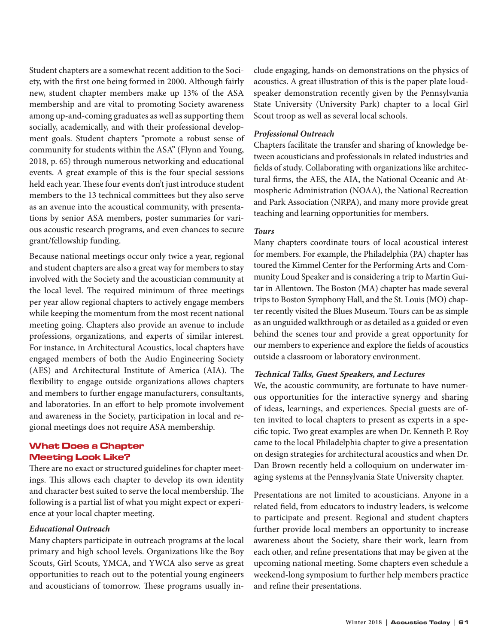Student chapters are a somewhat recent addition to the Society, with the first one being formed in 2000. Although fairly new, student chapter members make up 13% of the ASA membership and are vital to promoting Society awareness among up-and-coming graduates as well as supporting them socially, academically, and with their professional development goals. Student chapters "promote a robust sense of community for students within the ASA" (Flynn and Young, 2018, p. 65) through numerous networking and educational events. A great example of this is the four special sessions held each year. These four events don't just introduce student members to the 13 technical committees but they also serve as an avenue into the acoustical community, with presentations by senior ASA members, poster summaries for various acoustic research programs, and even chances to secure grant/fellowship funding.

Because national meetings occur only twice a year, regional and student chapters are also a great way for members to stay involved with the Society and the acoustician community at the local level. The required minimum of three meetings per year allow regional chapters to actively engage members while keeping the momentum from the most recent national meeting going. Chapters also provide an avenue to include professions, organizations, and experts of similar interest. For instance, in Architectural Acoustics, local chapters have engaged members of both the Audio Engineering Society (AES) and Architectural Institute of America (AIA). The flexibility to engage outside organizations allows chapters and members to further engage manufacturers, consultants, and laboratories. In an effort to help promote involvement and awareness in the Society, participation in local and regional meetings does not require ASA membership.

# What Does a Chapter Meeting Look Like?

There are no exact or structured guidelines for chapter meetings. This allows each chapter to develop its own identity and character best suited to serve the local membership. The following is a partial list of what you might expect or experience at your local chapter meeting.

## *Educational Outreach*

Many chapters participate in outreach programs at the local primary and high school levels. Organizations like the Boy Scouts, Girl Scouts, YMCA, and YWCA also serve as great opportunities to reach out to the potential young engineers and acousticians of tomorrow. These programs usually include engaging, hands-on demonstrations on the physics of acoustics. A great illustration of this is the paper plate loudspeaker demonstration recently given by the Pennsylvania State University (University Park) chapter to a local Girl Scout troop as well as several local schools.

# *Professional Outreach*

Chapters facilitate the transfer and sharing of knowledge between acousticians and professionals in related industries and fields of study. Collaborating with organizations like architectural firms, the AES, the AIA, the National Oceanic and Atmospheric Administration (NOAA), the National Recreation and Park Association (NRPA), and many more provide great teaching and learning opportunities for members.

# *Tours*

Many chapters coordinate tours of local acoustical interest for members. For example, the Philadelphia (PA) chapter has toured the Kimmel Center for the Performing Arts and Community Loud Speaker and is considering a trip to Martin Guitar in Allentown. The Boston (MA) chapter has made several trips to Boston Symphony Hall, and the St. Louis (MO) chapter recently visited the Blues Museum. Tours can be as simple as an unguided walkthrough or as detailed as a guided or even behind the scenes tour and provide a great opportunity for our members to experience and explore the fields of acoustics outside a classroom or laboratory environment.

# **Technical Talks, Guest Speakers, and Lectures**

We, the acoustic community, are fortunate to have numerous opportunities for the interactive synergy and sharing of ideas, learnings, and experiences. Special guests are often invited to local chapters to present as experts in a specific topic. Two great examples are when Dr. Kenneth P. Roy came to the local Philadelphia chapter to give a presentation on design strategies for architectural acoustics and when Dr. Dan Brown recently held a colloquium on underwater imaging systems at the Pennsylvania State University chapter.

Presentations are not limited to acousticians. Anyone in a related field, from educators to industry leaders, is welcome to participate and present. Regional and student chapters further provide local members an opportunity to increase awareness about the Society, share their work, learn from each other, and refine presentations that may be given at the upcoming national meeting. Some chapters even schedule a weekend-long symposium to further help members practice and refine their presentations.